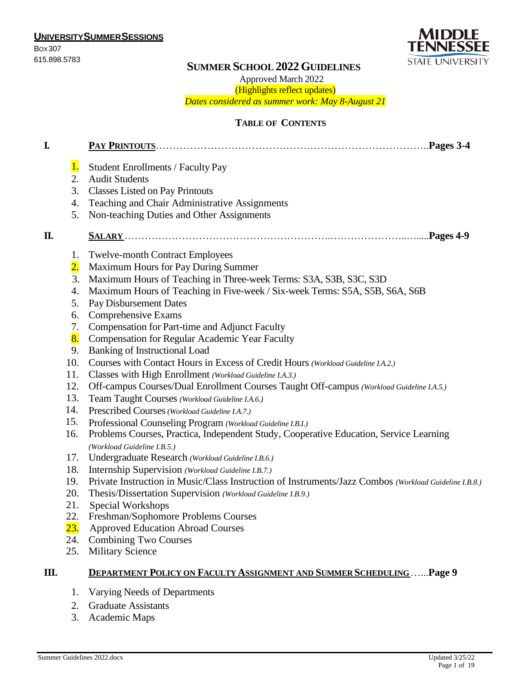**UNIVERSITYSUMMERSESSIONS** BOX307



# 615.898.5783 **SUMMER SCHOOL 2022GUIDELINES**

Approved March 2022

(Highlights reflect updates) *Dates considered as summer work: May 8-August 21*

### **TABLE OF CONTENTS**

| I. |                                                                                                                                                                                        |                                                                                                                                                                                                                                                                                                                                                                                                                                                                                                                                                                                                                                                                                                                                                                                                                                                                                                                                                                                                                                                                                                                                                                                                                                                                                                                                                                                                            |
|----|----------------------------------------------------------------------------------------------------------------------------------------------------------------------------------------|------------------------------------------------------------------------------------------------------------------------------------------------------------------------------------------------------------------------------------------------------------------------------------------------------------------------------------------------------------------------------------------------------------------------------------------------------------------------------------------------------------------------------------------------------------------------------------------------------------------------------------------------------------------------------------------------------------------------------------------------------------------------------------------------------------------------------------------------------------------------------------------------------------------------------------------------------------------------------------------------------------------------------------------------------------------------------------------------------------------------------------------------------------------------------------------------------------------------------------------------------------------------------------------------------------------------------------------------------------------------------------------------------------|
|    | 1.<br>2.<br>3.<br>4.<br>5.                                                                                                                                                             | <b>Student Enrollments / Faculty Pay</b><br><b>Audit Students</b><br><b>Classes Listed on Pay Printouts</b><br>Teaching and Chair Administrative Assignments<br>Non-teaching Duties and Other Assignments                                                                                                                                                                                                                                                                                                                                                                                                                                                                                                                                                                                                                                                                                                                                                                                                                                                                                                                                                                                                                                                                                                                                                                                                  |
| П. |                                                                                                                                                                                        |                                                                                                                                                                                                                                                                                                                                                                                                                                                                                                                                                                                                                                                                                                                                                                                                                                                                                                                                                                                                                                                                                                                                                                                                                                                                                                                                                                                                            |
|    | 1.<br>$\overline{2}$ .<br>3.<br>4.<br>5.<br>6.<br>7.<br>8.<br>9.<br>10.<br>11.<br>12.<br>13.<br>14.<br>15.<br>16.<br>17.<br>18.<br>19.<br>20.<br>21.<br>22.<br><mark>23.</mark><br>24. | <b>Twelve-month Contract Employees</b><br>Maximum Hours for Pay During Summer<br>Maximum Hours of Teaching in Three-week Terms: S3A, S3B, S3C, S3D<br>Maximum Hours of Teaching in Five-week / Six-week Terms: S5A, S5B, S6A, S6B<br>Pay Disbursement Dates<br>Comprehensive Exams<br>Compensation for Part-time and Adjunct Faculty<br><b>Compensation for Regular Academic Year Faculty</b><br><b>Banking of Instructional Load</b><br>Courses with Contact Hours in Excess of Credit Hours (Workload Guideline I.A.2.)<br>Classes with High Enrollment (Workload Guideline I.A.3.)<br>Off-campus Courses/Dual Enrollment Courses Taught Off-campus (Workload Guideline I.A.5.)<br>Team Taught Courses (Workload Guideline I.A.6.)<br>Prescribed Courses (Workload Guideline I.A.7.)<br>Professional Counseling Program (Workload Guideline I.B.I.)<br>Problems Courses, Practica, Independent Study, Cooperative Education, Service Learning<br>(Workload Guideline I.B.5.)<br>Undergraduate Research (Workload Guideline I.B.6.)<br>Internship Supervision (Workload Guideline I.B.7.)<br>Private Instruction in Music/Class Instruction of Instruments/Jazz Combos (Workload Guideline I.B.8.)<br>Thesis/Dissertation Supervision (Workload Guideline I.B.9.)<br>Special Workshops<br>Freshman/Sophomore Problems Courses<br><b>Approved Education Abroad Courses</b><br><b>Combining Two Courses</b> |
|    | 25.                                                                                                                                                                                    | <b>Military Science</b>                                                                                                                                                                                                                                                                                                                                                                                                                                                                                                                                                                                                                                                                                                                                                                                                                                                                                                                                                                                                                                                                                                                                                                                                                                                                                                                                                                                    |
| Ш. |                                                                                                                                                                                        | <b>DEPARTMENT POLICY ON FACULTY ASSIGNMENT AND SUMMER SCHEDULINGPage 9</b>                                                                                                                                                                                                                                                                                                                                                                                                                                                                                                                                                                                                                                                                                                                                                                                                                                                                                                                                                                                                                                                                                                                                                                                                                                                                                                                                 |
|    | 1.                                                                                                                                                                                     | Varying Needs of Departments                                                                                                                                                                                                                                                                                                                                                                                                                                                                                                                                                                                                                                                                                                                                                                                                                                                                                                                                                                                                                                                                                                                                                                                                                                                                                                                                                                               |

- 2. Graduate Assistants
- 3. Academic Maps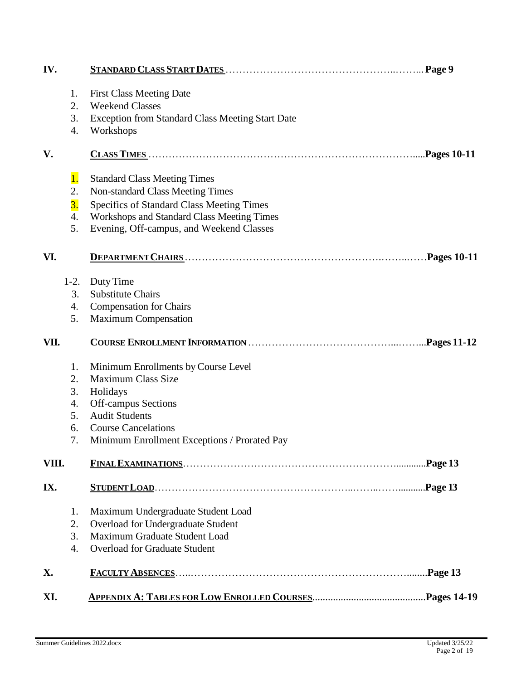| IV.   |                  |                                                                          |  |
|-------|------------------|--------------------------------------------------------------------------|--|
|       | 1.               | <b>First Class Meeting Date</b>                                          |  |
|       | 2.               | <b>Weekend Classes</b>                                                   |  |
|       | 3.               | <b>Exception from Standard Class Meeting Start Date</b>                  |  |
|       | 4.               | Workshops                                                                |  |
| V.    |                  |                                                                          |  |
|       | 1.               |                                                                          |  |
|       | 2.               | <b>Standard Class Meeting Times</b><br>Non-standard Class Meeting Times  |  |
|       | $\overline{3}$ . | Specifics of Standard Class Meeting Times                                |  |
|       | 4.               | Workshops and Standard Class Meeting Times                               |  |
|       | 5.               | Evening, Off-campus, and Weekend Classes                                 |  |
| VI.   |                  |                                                                          |  |
|       |                  |                                                                          |  |
|       | $1-2.$           | Duty Time                                                                |  |
|       | 3.               | <b>Substitute Chairs</b>                                                 |  |
|       | 4.               | <b>Compensation for Chairs</b>                                           |  |
|       | 5.               | <b>Maximum Compensation</b>                                              |  |
| VII.  |                  |                                                                          |  |
|       | 1.               | Minimum Enrollments by Course Level                                      |  |
|       |                  | <b>Maximum Class Size</b>                                                |  |
|       |                  |                                                                          |  |
|       | 2.<br>3.         |                                                                          |  |
|       | 4.               | Holidays<br><b>Off-campus Sections</b>                                   |  |
|       | 5.               | <b>Audit Students</b>                                                    |  |
|       | 6.               | <b>Course Cancelations</b>                                               |  |
|       | 7.               | Minimum Enrollment Exceptions / Prorated Pay                             |  |
| VIII. |                  |                                                                          |  |
| IX.   |                  |                                                                          |  |
|       |                  |                                                                          |  |
|       | 1.<br>2.         | Maximum Undergraduate Student Load<br>Overload for Undergraduate Student |  |
|       | 3.               | Maximum Graduate Student Load                                            |  |
|       | 4.               | <b>Overload for Graduate Student</b>                                     |  |
| X.    |                  |                                                                          |  |
| XI.   |                  |                                                                          |  |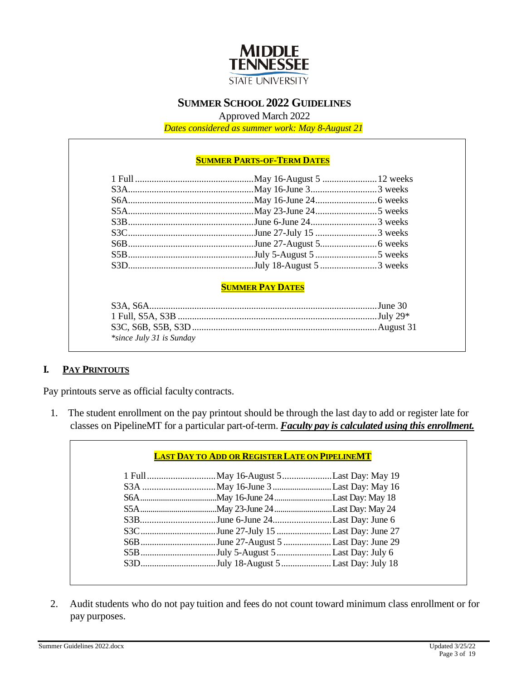

# **SUMMER SCHOOL 2022 GUIDELINES**

Approved March 2022

*Dates considered as summer work: May 8-August 21*

#### **SUMMER PARTS-OF-TERM DATES**

#### **SUMMER PAY DATES**

| <i>*since July 31 is Sunday</i> |  |
|---------------------------------|--|

# **I. PAY PRINTOUTS**

Pay printouts serve as official faculty contracts.

1. The student enrollment on the pay printout should be through the last day to add or register late for classes on PipelineMT for a particular part-of-term. *Faculty pay is calculated using this enrollment.*

| S3BJune 6-June 24Last Day: June 6    |  |
|--------------------------------------|--|
| S3CJune 27-July 15 Last Day: June 27 |  |
|                                      |  |
|                                      |  |
|                                      |  |

2. Audit students who do not pay tuition and fees do not count toward minimum class enrollment or for pay purposes.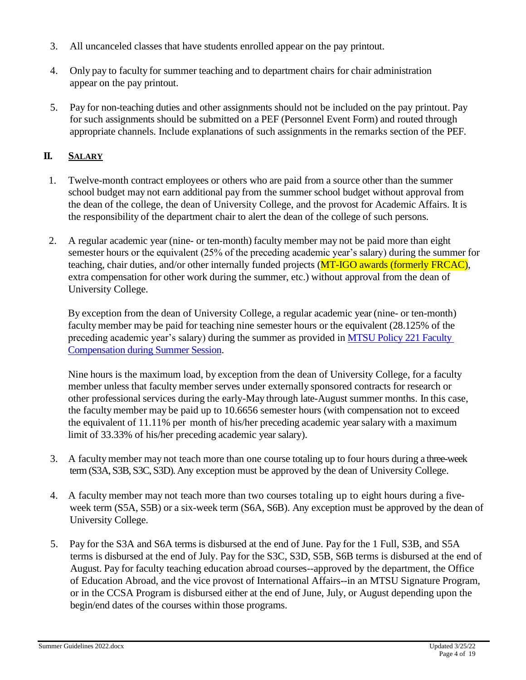- 3. All uncanceled classes that have students enrolled appear on the pay printout.
- 4. Only pay to faculty for summer teaching and to department chairs for chair administration appear on the pay printout.
- 5. Pay for non-teaching duties and other assignments should not be included on the pay printout. Pay for such assignments should be submitted on a PEF (Personnel Event Form) and routed through appropriate channels. Include explanations of such assignments in the remarks section of the PEF.

# **II. SALARY**

- 1. Twelve-month contract employees or others who are paid from a source other than the summer school budget may not earn additional pay from the summer school budget without approval from the dean of the college, the dean of University College, and the provost for Academic Affairs. It is the responsibility of the department chair to alert the dean of the college of such persons.
- 2. A regular academic year (nine- or ten-month) faculty member may not be paid more than eight semester hours or the equivalent (25% of the preceding academic year's salary) during the summer for teaching, chair duties, and/or other internally funded projects (MT-IGO awards (formerly FRCAC), extra compensation for other work during the summer, etc.) without approval from the dean of University College.

By exception from the dean of University College, a regular academic year (nine- or ten-month) facultymember may be paid for teaching nine semester hours or the equivalent (28.125% of the preceding academic year's salary) during the summer as provided in [MTSU Policy 221 Faculty](https://www.mtsu.edu/policies/academic-affairs-institution-and-faculty/221.php)  [Compensation during Summer Session.](https://www.mtsu.edu/policies/academic-affairs-institution-and-faculty/221.php)

Nine hours is the maximum load, by exception from the dean of University College, for a faculty member unless that faculty member serves under externally sponsored contracts for research or other professional services during the early-May through late-August summer months. In this case, the facultymember may be paid up to 10.6656 semester hours (with compensation not to exceed the equivalent of 11.11% per month of his/her preceding academic yearsalary with a maximum limit of 33.33% of his/her preceding academic year salary).

- 3. A facultymember may not teach more than one course totaling up to four hours during a three-week term (S3A, S3B, S3C, S3D). Any exception must be approved by the dean of University College.
- 4. A faculty member may not teach more than two courses totaling up to eight hours during a fiveweek term (S5A, S5B) or a six-week term (S6A, S6B). Any exception must be approved by the dean of University College.
- 5. Pay for the S3A and S6A terms is disbursed at the end of June. Pay for the 1 Full, S3B, and S5A terms is disbursed at the end of July. Pay for the S3C, S3D, S5B, S6B terms is disbursed at the end of August. Pay for faculty teaching education abroad courses--approved by the department, the Office of Education Abroad, and the vice provost of International Affairs--in an MTSU Signature Program, or in the CCSA Program is disbursed either at the end of June, July, or August depending upon the begin/end dates of the courses within those programs.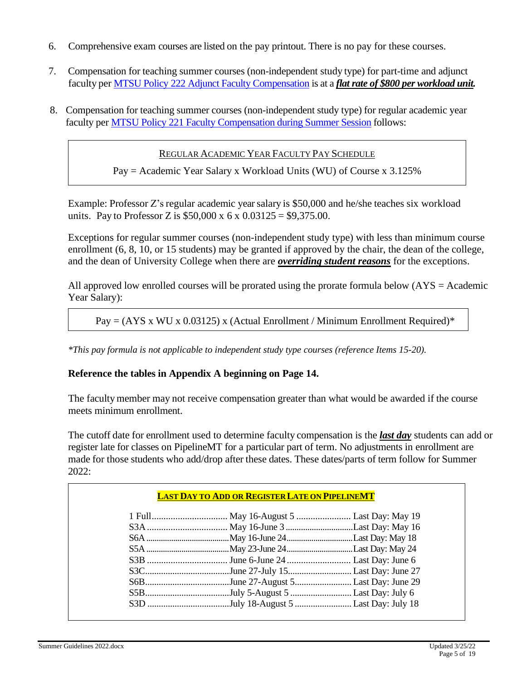- 6. Comprehensive exam courses are listed on the pay printout. There is no pay for these courses.
- 7. Compensation for teaching summer courses (non-independent study type) for part-time and adjunct faculty per [MTSU Policy 222 Adjunct Faculty Compensation](https://www.mtsu.edu/policies/academic-affairs-institution-and-faculty/222.php) is at a *flat rate of \$800 per workload unit.*
- 8. Compensation for teaching summer courses (non-independent study type) for regular academic year faculty per [MTSU Policy 221 Faculty Compensation during Summer Session](https://www.mtsu.edu/policies/academic-affairs-institution-and-faculty/221.php) follows:

REGULAR ACADEMIC YEAR FACULTY PAY SCHEDULE

Pay = Academic Year Salary x Workload Units (WU) of Course x 3.125%

Example: Professor Z's regular academic yearsalary is \$50,000 and he/she teaches six workload units. Pay to Professor Z is  $$50,000 \times 6 \times 0.03125 = $9,375.00$ .

Exceptions for regular summer courses (non-independent study type) with less than minimum course enrollment (6, 8, 10, or 15 students) may be granted if approved by the chair, the dean of the college, and the dean of University College when there are *overriding student reasons* for the exceptions.

All approved low enrolled courses will be prorated using the prorate formula below  $(ATS = Academic$ Year Salary):

```
Pay = (AYS x WU x 0.03125) x (Actual Enrollment / Minimum Enrollment Required)*
```
*\*This pay formula is not applicable to independent study type courses (reference Items 15-20).*

# **Reference the tables in Appendix A beginning on Page 14.**

The facultymember may not receive compensation greater than what would be awarded if the course meets minimum enrollment.

The cutoff date for enrollment used to determine faculty compensation is the *last day* students can add or register late for classes on PipelineMT for a particular part of term. No adjustments in enrollment are made for those students who add/drop after these dates. These dates/parts of term follow for Summer 2022:

| S3CJune 27-July 15Last Day: June 27  |  |
|--------------------------------------|--|
| S6BJune 27-August 5Last Day: June 29 |  |
| S5BJuly 5-August 5 Last Day: July 6  |  |
|                                      |  |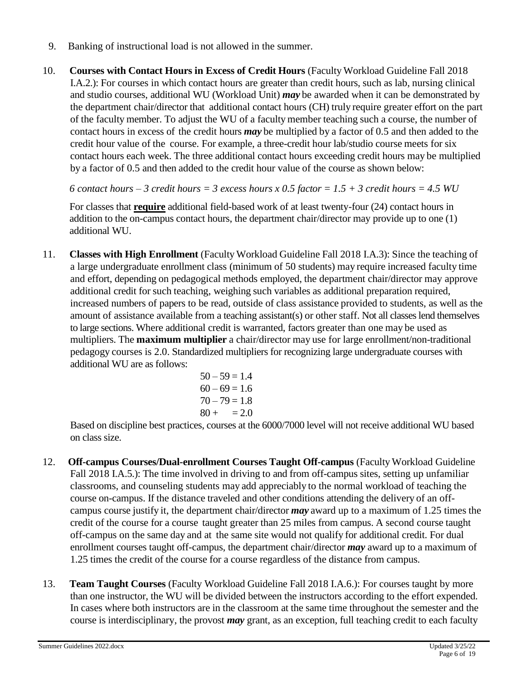- 9. Banking of instructional load is not allowed in the summer.
- 10. **Courses with Contact Hours in Excess of Credit Hours** (Faculty Workload Guideline Fall 2018 I.A.2.): For courses in which contact hours are greater than credit hours, such as lab, nursing clinical and studio courses, additional WU (Workload Unit) *may* be awarded when it can be demonstrated by the department chair/director that additional contact hours (CH) truly require greater effort on the part of the faculty member. To adjust the WU of a faculty member teaching such a course, the number of contact hours in excess of the credit hours *may* be multiplied by a factor of 0.5 and then added to the credit hour value of the course. For example, a three-credit hour lab/studio course meets for six contact hours each week. The three additional contact hours exceeding credit hours may be multiplied by a factor of 0.5 and then added to the credit hour value of the course as shown below:

*6 contact hours – 3 credit hours = 3 excess hours x 0.5 factor = 1.5 + 3 credit hours = 4.5 WU*

For classes that **require** additional field-based work of at least twenty-four (24) contact hours in addition to the on-campus contact hours, the department chair/director may provide up to one (1) additional WU.

11. **Classes with High Enrollment** (Faculty Workload Guideline Fall 2018 I.A.3): Since the teaching of a large undergraduate enrollment class (minimum of 50 students) may require increased faculty time and effort, depending on pedagogical methods employed, the department chair/director may approve additional credit for such teaching, weighing such variables as additional preparation required, increased numbers of papers to be read, outside of class assistance provided to students, as well as the amount of assistance available from a teaching assistant(s) or other staff. Not all classes lend themselves to large sections. Where additional credit is warranted, factors greater than one may be used as multipliers. The **maximum multiplier** a chair/director may use for large enrollment/non-traditional pedagogy courses is 2.0. Standardized multipliers for recognizing large undergraduate courses with additional WU are as follows:

$$
50-59 = 1.4
$$
  

$$
60-69 = 1.6
$$
  

$$
70-79 = 1.8
$$
  

$$
80 + 2.0
$$

Based on discipline best practices, courses at the 6000/7000 level will not receive additional WU based on class size.

- 12. **Off-campus Courses/Dual-enrollment Courses Taught Off-campus** (Faculty Workload Guideline Fall 2018 I.A.5.): The time involved in driving to and from off-campus sites, setting up unfamiliar classrooms, and counseling students may add appreciably to the normal workload of teaching the course on-campus. If the distance traveled and other conditions attending the delivery of an offcampus course justify it, the department chair/director *may* award up to a maximum of 1.25 times the credit of the course for a course taught greater than 25 miles from campus. A second course taught off-campus on the same day and at the same site would not qualify for additional credit. For dual enrollment courses taught off-campus, the department chair/director *may* award up to a maximum of 1.25 times the credit of the course for a course regardless of the distance from campus.
- 13. **Team Taught Courses** (Faculty Workload Guideline Fall 2018 I.A.6.): For courses taught by more than one instructor, the WU will be divided between the instructors according to the effort expended. In cases where both instructors are in the classroom at the same time throughout the semester and the course is interdisciplinary, the provost *may* grant, as an exception, full teaching credit to each faculty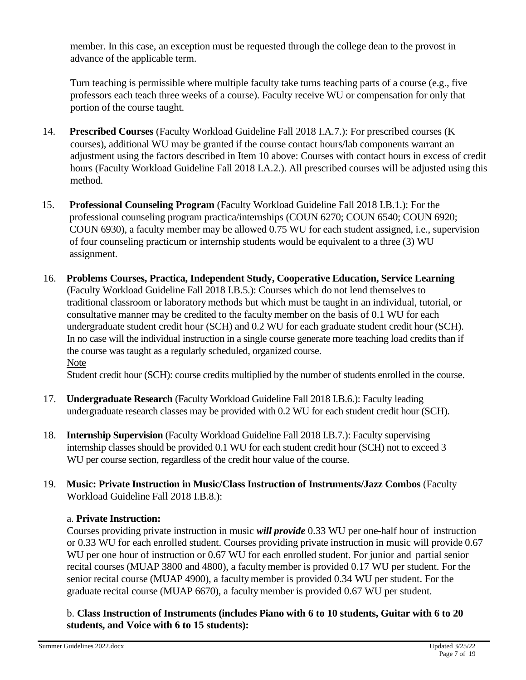member. In this case, an exception must be requested through the college dean to the provost in advance of the applicable term.

Turn teaching is permissible where multiple faculty take turns teaching parts of a course (e.g., five professors each teach three weeks of a course). Faculty receive WU or compensation for only that portion of the course taught.

- 14. **Prescribed Courses** (Faculty Workload Guideline Fall 2018 I.A.7.): For prescribed courses (K courses), additional WU may be granted if the course contact hours/lab components warrant an adjustment using the factors described in Item 10 above: Courses with contact hours in excess of credit hours (Faculty Workload Guideline Fall 2018 I.A.2.). All prescribed courses will be adjusted using this method.
- 15. **Professional Counseling Program** (Faculty Workload Guideline Fall 2018 I.B.1.): For the professional counseling program practica/internships (COUN 6270; COUN 6540; COUN 6920; COUN 6930), a faculty member may be allowed 0.75 WU for each student assigned, i.e., supervision of four counseling practicum or internship students would be equivalent to a three (3) WU assignment.
- 16. **Problems Courses, Practica, Independent Study, Cooperative Education, Service Learning** (Faculty Workload Guideline Fall 2018 I.B.5.): Courses which do not lend themselves to traditional classroom or laboratory methods but which must be taught in an individual, tutorial, or consultative manner may be credited to the facultymember on the basis of 0.1 WU for each undergraduate student credit hour (SCH) and 0.2 WU for each graduate student credit hour (SCH). In no case will the individual instruction in a single course generate more teaching load credits than if the course was taught as a regularly scheduled, organized course. Note

Student credit hour (SCH): course credits multiplied by the number of students enrolled in the course.

- 17. **Undergraduate Research** (Faculty Workload Guideline Fall 2018 I.B.6.): Faculty leading undergraduate research classes may be provided with 0.2 WU for each student credit hour (SCH).
- 18. **Internship Supervision** (Faculty Workload Guideline Fall 2018 I.B.7.): Faculty supervising internship classes should be provided 0.1 WU for each student credit hour (SCH) not to exceed 3 WU per course section, regardless of the credit hour value of the course.
- 19. **Music: Private Instruction in Music/Class Instruction of Instruments/Jazz Combos** (Faculty Workload Guideline Fall 2018 I.B.8.):

# a. **Private Instruction:**

Courses providing private instruction in music *will provide* 0.33 WU per one-half hour of instruction or 0.33 WU for each enrolled student. Courses providing private instruction in music will provide 0.67 WU per one hour of instruction or 0.67 WU for each enrolled student. For junior and partial senior recital courses (MUAP 3800 and 4800), a facultymember is provided 0.17 WU per student. For the senior recital course (MUAP 4900), a faculty member is provided 0.34 WU per student. For the graduate recital course (MUAP 6670), a facultymember is provided 0.67 WU per student.

b. **Class Instruction of Instruments (includes Piano with 6 to 10 students, Guitar with 6 to 20 students, and Voice with 6 to 15 students):**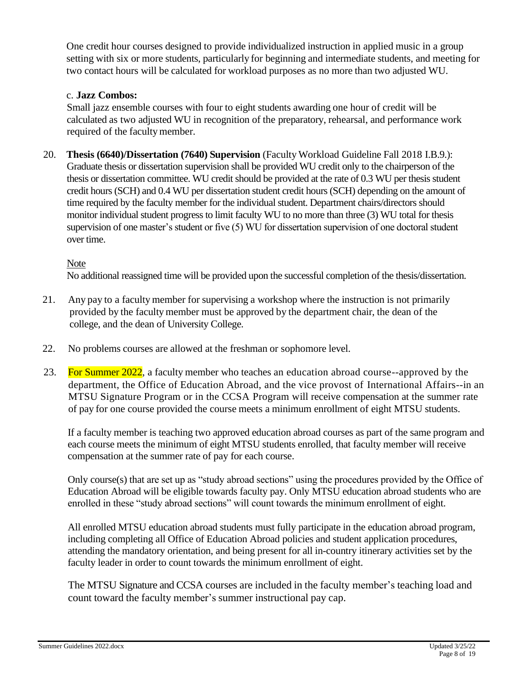One credit hour courses designed to provide individualized instruction in applied music in a group setting with six or more students, particularly for beginning and intermediate students, and meeting for two contact hours will be calculated for workload purposes as no more than two adjusted WU.

# c. **Jazz Combos:**

Small jazz ensemble courses with four to eight students awarding one hour of credit will be calculated as two adjusted WU in recognition of the preparatory, rehearsal, and performance work required of the faculty member.

20. **Thesis (6640)/Dissertation (7640) Supervision** (Faculty Workload Guideline Fall 2018 I.B.9.): Graduate thesis or dissertation supervision shall be provided WU credit only to the chairperson of the thesis or dissertation committee. WU credit should be provided at the rate of 0.3 WU per thesis student credit hours (SCH) and 0.4 WU per dissertation student credit hours (SCH) depending on the amount of time required by the faculty member for the individual student. Department chairs/directors should monitor individual student progress to limit faculty WU to no more than three (3) WU total for thesis supervision of one master's student or five (5) WU for dissertation supervision of one doctoral student over time.

# Note

No additional reassigned time will be provided upon the successful completion of the thesis/dissertation.

- 21. Any pay to a facultymember for supervising a workshop where the instruction is not primarily provided by the facultymember must be approved by the department chair, the dean of the college, and the dean of University College.
- 22. No problems courses are allowed at the freshman or sophomore level.
- 23. For Summer 2022, a faculty member who teaches an education abroad course--approved by the department, the Office of Education Abroad, and the vice provost of International Affairs--in an MTSU Signature Program or in the CCSA Program will receive compensation at the summer rate of pay for one course provided the course meets a minimum enrollment of eight MTSU students.

If a faculty member is teaching two approved education abroad courses as part of the same program and each course meets the minimum of eight MTSU students enrolled, that faculty member will receive compensation at the summer rate of pay for each course.

Only course(s) that are set up as "study abroad sections" using the procedures provided by the Office of Education Abroad will be eligible towards faculty pay. Only MTSU education abroad students who are enrolled in these "study abroad sections" will count towards the minimum enrollment of eight.

All enrolled MTSU education abroad students must fully participate in the education abroad program, including completing all Office of Education Abroad policies and student application procedures, attending the mandatory orientation, and being present for all in-country itinerary activities set by the faculty leader in order to count towards the minimum enrollment of eight.

The MTSU Signature and CCSA courses are included in the faculty member's teaching load and count toward the faculty member's summer instructional pay cap.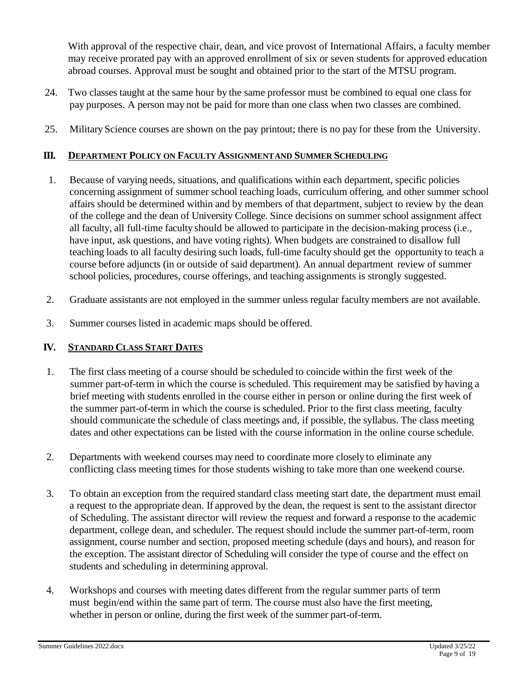With approval of the respective chair, dean, and vice provost of International Affairs, a faculty member may receive prorated pay with an approved enrollment of six or seven students for approved education abroad courses. Approval must be sought and obtained prior to the start of the MTSU program.

- 24. Two classes taught at the same hour by the same professor must be combined to equal one class for pay purposes. A person may not be paid for more than one class when two classes are combined.
- 25. Military Science courses are shown on the pay printout; there is no pay for these from the University.

# **III. DEPARTMENT POLICY ON FACULTY ASSIGNMENTAND SUMMER SCHEDULING**

- 1. Because of varying needs, situations, and qualifications within each department, specific policies concerning assignment of summer school teaching loads, curriculum offering, and other summer school affairs should be determined within and by members of that department, subject to review by the dean of the college and the dean of University College. Since decisions on summer school assignment affect all faculty, all full-time faculty should be allowed to participate in the decision-making process (i.e., have input, ask questions, and have voting rights). When budgets are constrained to disallow full teaching loads to all faculty desiring such loads, full-time faculty should get the opportunity to teach a course before adjuncts (in or outside of said department). An annual department review of summer school policies, procedures, course offerings, and teaching assignments is strongly suggested.
- 2. Graduate assistants are not employed in the summer unless regular faculty members are not available.
- 3. Summer courses listed in academic maps should be offered.

# **IV. STANDARD CLASS START DATES**

- 1. The first class meeting of a course should be scheduled to coincide within the first week of the summer part-of-term in which the course is scheduled. This requirement may be satisfied by having a brief meeting with students enrolled in the course either in person or online during the first week of the summer part-of-term in which the course is scheduled. Prior to the first class meeting, faculty should communicate the schedule of class meetings and, if possible, the syllabus. The class meeting dates and other expectations can be listed with the course information in the online course schedule.
- 2. Departments with weekend courses may need to coordinate more closely to eliminate any conflicting class meeting times for those students wishing to take more than one weekend course.
- 3. To obtain an exception from the required standard class meeting start date, the department must email a request to the appropriate dean. If approved by the dean, the request is sent to the assistant director of Scheduling. The assistant director will review the request and forward a response to the academic department, college dean, and scheduler. The request should include the summer part-of-term, room assignment, course number and section, proposed meeting schedule (days and hours), and reason for the exception. The assistant director of Scheduling will consider the type of course and the effect on students and scheduling in determining approval.
- 4. Workshops and courses with meeting dates different from the regular summer parts of term must begin/end within the same part of term. The course must also have the first meeting, whether in person or online, during the first week of the summer part-of-term.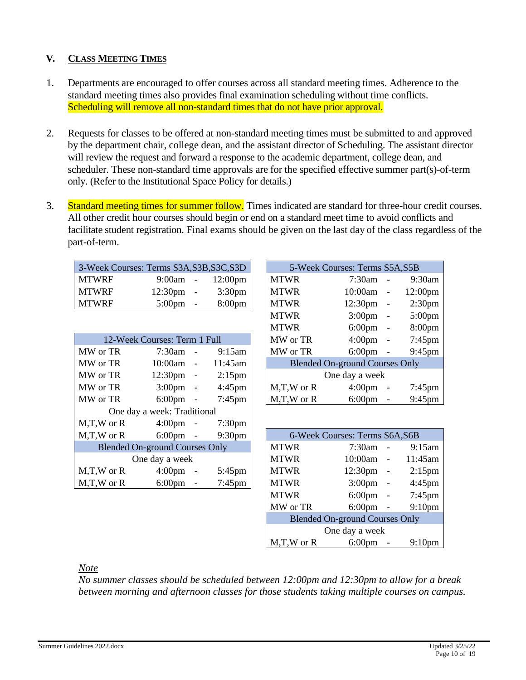# **V. CLASS MEETING TIMES**

- 1. Departments are encouraged to offer courses across all standard meeting times. Adherence to the standard meeting times also provides final examination scheduling without time conflicts. Scheduling will remove all non-standard times that do not have prior approval.
- 2. Requests for classes to be offered at non-standard meeting times must be submitted to and approved by the department chair, college dean, and the assistant director of Scheduling. The assistant director will review the request and forward a response to the academic department, college dean, and scheduler. These non-standard time approvals are for the specified effective summer part(s)-of-term only. (Refer to the Institutional Space Policy for details.)
- 3. Standard meeting times for summer follow. Times indicated are standard for three-hour credit courses. All other credit hour courses should begin or end on a standard meet time to avoid conflicts and facilitate student registration. Final exams should be given on the last day of the class regardless of the part-of-term.

| 3-Week Courses: Terms S3A, S3B, S3C, S3D |                     |                  |             | 5-Week Courses: Terms S5A, S5B |                     |
|------------------------------------------|---------------------|------------------|-------------|--------------------------------|---------------------|
| MTWRF                                    | 9:00am -            | 12:00pm          | <b>MTWR</b> | $7:30$ am -                    | 9:30am              |
| <b>MTWRF</b>                             | $12:30 \text{pm}$ - | $3:30 \text{pm}$ | MTWR        | $10:00am$ -                    | 12:00 <sub>pm</sub> |
| <b>MTWRF</b>                             | $5:00 \text{pm}$ -  | $8:00 \text{pm}$ | MTWR        | $12:30 \text{pm}$ -            | 2:30 <sub>pm</sub>  |

|                                 | 12-Week Courses: Term 1 Full          |                    | MW or TR       | $4:00 \text{pm}$ -                    | $7:45$ pm                           |
|---------------------------------|---------------------------------------|--------------------|----------------|---------------------------------------|-------------------------------------|
| MW or TR                        | $7:30$ am -                           | $9:15$ am          | MW or TR       |                                       | $6:00 \text{pm}$ - $9:45 \text{pm}$ |
| MW or TR                        | $10:00$ am -                          | 11:45am            |                | <b>Blended On-ground Courses Only</b> |                                     |
| MW or TR                        | $12:30 \text{pm}$ -                   | $2:15$ pm          |                | One day a week                        |                                     |
| MW or TR                        | $3:00 \text{pm}$ -                    | $4:45 \text{pm}$   | $M,T,W$ or $R$ | $4:00 \text{pm}$ -                    | $7:45$ pm                           |
| MW or TR                        | $6:00 \text{pm}$ -                    | $7:45$ pm          | $M,T,W$ or $R$ | $6:00 \text{pm}$ -                    | $9:45$ pm                           |
|                                 | One day a week: Traditional           |                    |                |                                       |                                     |
| $M,T,W$ or R $4:00 \text{pm}$ - |                                       | $7:30 \text{pm}$   |                |                                       |                                     |
| $M,T,W$ or R 6:00pm -           |                                       | 9:30 <sub>pm</sub> |                | 6-Week Courses: Terms S6A, S6B        |                                     |
|                                 | <b>Blended On-ground Courses Only</b> |                    | <b>MTWR</b>    | $7:30$ am -                           | 9:15am                              |
|                                 | One day a week                        |                    | <b>MTWR</b>    | $10:00$ am -                          | 11:45am                             |
| $M,T,W$ or $R$                  | $4:00 \text{pm}$ -                    | $5:45$ pm          | <b>MTWR</b>    | $12:30 \text{pm}$ -                   | $2:15$ pm                           |
| $M,T,W$ or $R$                  | $6:00 \text{pm}$ -                    | $7:45$ pm          | <b>MTWR</b>    | $3:00 \text{pm}$ -                    | $4:45$ pm                           |

|       | k Courses: Terms S3A, S3B, S3C, S3D |                                       |                | 5-Week Courses: Terms S5A, S5B        |                   |                    |
|-------|-------------------------------------|---------------------------------------|----------------|---------------------------------------|-------------------|--------------------|
| RF    | 9:00am                              | 12:00 <sub>pm</sub>                   | <b>MTWR</b>    | $7:30$ am                             |                   | 9:30am             |
| ŔF    | 12:30 <sub>pm</sub><br>$\sim$       | 3:30 <sub>pm</sub>                    | <b>MTWR</b>    | 10:00am                               | $\qquad \qquad -$ | 12:00pm            |
| ŔF    | $5:00 \text{pm}$<br>$\sim$          | 8:00 <sub>pm</sub>                    | <b>MTWR</b>    | $12:30 \text{pm}$ -                   |                   | 2:30 <sub>pm</sub> |
|       |                                     |                                       | <b>MTWR</b>    | $3:00 \text{pm}$ -                    |                   | $5:00$ pm          |
|       |                                     |                                       | <b>MTWR</b>    | $6:00 \text{pm}$ -                    |                   | 8:00pm             |
|       | 12-Week Courses: Term 1 Full        |                                       | MW or TR       | $4:00 \text{pm}$ -                    |                   | $7:45$ pm          |
| r TR- | $7:30$ am<br>$\sim$                 | $9:15$ am                             | MW or TR       | $6:00 \text{pm}$ -                    |                   | 9:45pm             |
| r TR  | 10:00am<br>$\overline{\phantom{a}}$ | 11:45am                               |                | <b>Blended On-ground Courses Only</b> |                   |                    |
| r TR  | 12:30 <sub>pm</sub><br>$\sim$       | $2:15$ pm                             |                | One day a week                        |                   |                    |
| r TR  | 3:00 <sub>pm</sub><br>$\sim$        | $4:45 \text{pm}$                      | $M,T,W$ or $R$ | $4:00 \text{pm}$ -                    |                   | $7:45$ pm          |
| r TR  | $6:00 \text{pm}$                    | $7:45$ pm<br>$\overline{\phantom{a}}$ | $M,T,W$ or $R$ | $6:00 \text{pm}$                      | $\qquad \qquad -$ | 9:45pm             |

| W or R | $6:00 \text{pm}$ -                    | 9:30 <sub>pm</sub> |                | 6-Week Courses: Terms S6A, S6B        |                          |                    |
|--------|---------------------------------------|--------------------|----------------|---------------------------------------|--------------------------|--------------------|
|        | <b>Blended On-ground Courses Only</b> |                    | <b>MTWR</b>    | 7:30am                                | $\overline{\phantom{a}}$ | 9:15am             |
|        | One day a week                        |                    | <b>MTWR</b>    | 10:00am -                             |                          | 11:45am            |
| W or R | $4:00 \text{pm}$ -                    | $5:45$ pm          | <b>MTWR</b>    | $12:30 \text{pm}$ -                   |                          | $2:15$ pm          |
| W or R | $6:00 \text{pm}$ -                    | $7:45$ pm          | <b>MTWR</b>    | $3:00 \text{pm}$ -                    |                          | $4:45$ pm          |
|        |                                       |                    | <b>MTWR</b>    | $6:00 \text{pm}$ -                    |                          | $7:45 \text{pm}$   |
|        |                                       |                    | MW or TR       | $6:00 \text{pm}$ -                    |                          | 9:10 <sub>pm</sub> |
|        |                                       |                    |                | <b>Blended On-ground Courses Only</b> |                          |                    |
|        |                                       |                    |                | One day a week                        |                          |                    |
|        |                                       |                    | $M,T,W$ or $R$ | $6:00 \text{pm}$                      |                          | 9:10 <sub>pm</sub> |

# *Note*

*No summer classes should be scheduled between 12:00pm and 12:30pm to allow for a break between morning and afternoon classes for those students taking multiple courses on campus.*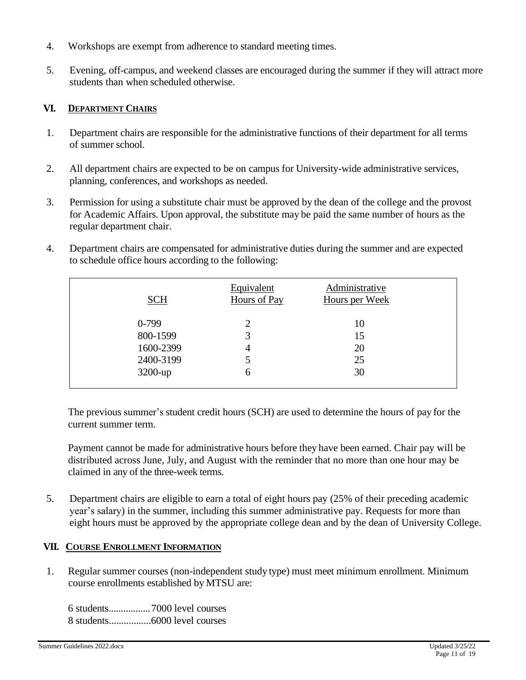- 4. Workshops are exempt from adherence to standard meeting times.
- 5. Evening, off-campus, and weekend classes are encouraged during the summer if they will attract more students than when scheduled otherwise.

# **VI. DEPARTMENT CHAIRS**

- 1. Department chairs are responsible for the administrative functions of their department for all terms of summer school.
- 2. All department chairs are expected to be on campus for University-wide administrative services, planning, conferences, and workshops as needed.
- 3. Permission for using a substitute chair must be approved by the dean of the college and the provost for Academic Affairs. Upon approval, the substitute may be paid the same number of hours as the regular department chair.
- 4. Department chairs are compensated for administrative duties during the summer and are expected to schedule office hours according to the following:

| SCH        | Equivalent<br>Hours of Pay | Administrative<br><b>Hours per Week</b> |  |
|------------|----------------------------|-----------------------------------------|--|
| $0-799$    | 2                          | 10                                      |  |
| 800-1599   | 3                          | 15                                      |  |
| 1600-2399  | 4                          | 20                                      |  |
| 2400-3199  | 5                          | 25                                      |  |
| $3200$ -up | 6                          | 30                                      |  |
|            |                            |                                         |  |

The previous summer's student credit hours (SCH) are used to determine the hours of pay for the current summer term.

Payment cannot be made for administrative hours before they have been earned. Chair pay will be distributed across June, July, and August with the reminder that no more than one hour may be claimed in any of the three-week terms.

5. Department chairs are eligible to earn a total of eight hours pay (25% of their preceding academic year's salary) in the summer, including this summer administrative pay. Requests for more than eight hours must be approved by the appropriate college dean and by the dean of University College.

# **VII. COURSE ENROLLMENT INFORMATION**

1. Regular summer courses (non-independent study type) must meet minimum enrollment. Minimum course enrollments established by MTSU are:

6 students.................7000 level courses 8 students.................6000 level courses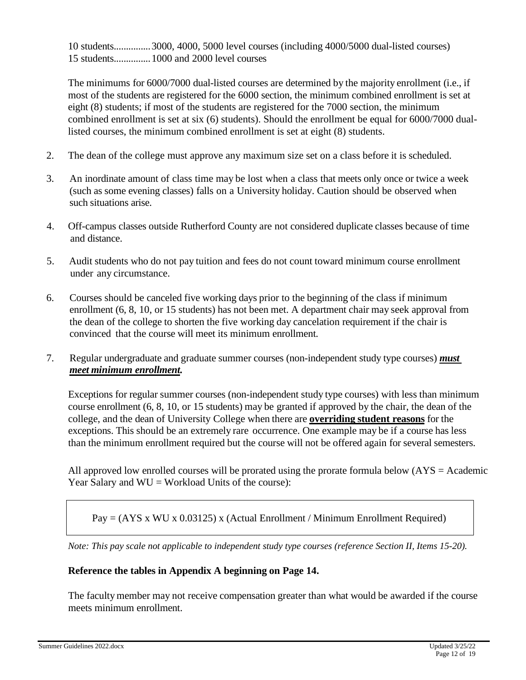10 students...............3000, 4000, 5000 level courses (including 4000/5000 dual-listed courses) 15 students...............1000 and 2000 level courses

The minimums for 6000/7000 dual-listed courses are determined by the majority enrollment (i.e., if most of the students are registered for the 6000 section, the minimum combined enrollment is set at eight (8) students; if most of the students are registered for the 7000 section, the minimum combined enrollment is set at six (6) students). Should the enrollment be equal for 6000/7000 duallisted courses, the minimum combined enrollment is set at eight (8) students.

- 2. The dean of the college must approve any maximum size set on a class before it is scheduled.
- 3. An inordinate amount of class time may be lost when a class that meets only once or twice a week (such as some evening classes) falls on a University holiday. Caution should be observed when such situations arise.
- 4. Off-campus classes outside Rutherford County are not considered duplicate classes because of time and distance.
- 5. Audit students who do not pay tuition and fees do not count toward minimum course enrollment under any circumstance.
- 6. Courses should be canceled five working days prior to the beginning of the class if minimum enrollment (6, 8, 10, or 15 students) has not been met. A department chair may seek approval from the dean of the college to shorten the five working day cancelation requirement if the chair is convinced that the course will meet its minimum enrollment.
- 7. Regular undergraduate and graduate summer courses (non-independent study type courses) *must meet minimum enrollment.*

Exceptions for regular summer courses (non-independent study type courses) with less than minimum course enrollment (6, 8, 10, or 15 students) may be granted if approved by the chair, the dean of the college, and the dean of University College when there are **overriding student reasons** for the exceptions. This should be an extremely rare occurrence. One example may be if a course has less than the minimum enrollment required but the course will not be offered again for several semesters.

All approved low enrolled courses will be prorated using the prorate formula below (AYS = Academic Year Salary and  $WU = Workload$  Units of the course):

 $Pay = (AYS x WU x 0.03125) x (Actual Enrollment / Minimum Enrollment Required)$ 

*Note: This pay scale not applicable to independent study type courses (reference Section II, Items 15-20).*

# **Reference the tables in Appendix A beginning on Page 14.**

The facultymember may not receive compensation greater than what would be awarded if the course meets minimum enrollment.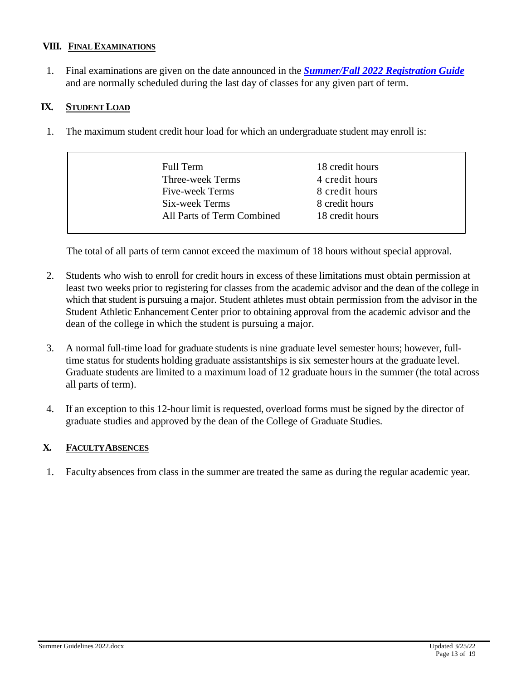### **VIII. FINAL EXAMINATIONS**

1. Final examinations are given on the date announced in the *[Summer/Fall](https://www.mtsu.edu/registration/registration-guide.php) 2022 Registration Guide* and are normally scheduled during the last day of classes for any given part of term.

# **IX. STUDENT LOAD**

1. The maximum student credit hour load for which an undergraduate student may enroll is:

| Full Term                  | 18 credit hours |
|----------------------------|-----------------|
| <b>Three-week Terms</b>    | 4 credit hours  |
| Five-week Terms            | 8 credit hours  |
| Six-week Terms             | 8 credit hours  |
| All Parts of Term Combined | 18 credit hours |

The total of all parts of term cannot exceed the maximum of 18 hours without special approval.

- 2. Students who wish to enroll for credit hours in excess of these limitations must obtain permission at least two weeks prior to registering for classes from the academic advisor and the dean of the college in which that student is pursuing a major. Student athletes must obtain permission from the advisor in the Student Athletic Enhancement Center prior to obtaining approval from the academic advisor and the dean of the college in which the student is pursuing a major.
- 3. A normal full-time load for graduate students is nine graduate level semester hours; however, fulltime status for students holding graduate assistantships is six semester hours at the graduate level. Graduate students are limited to a maximum load of 12 graduate hours in the summer (the total across all parts of term).
- 4. If an exception to this 12-hour limit is requested, overload forms must be signed by the director of graduate studies and approved by the dean of the College of Graduate Studies.

# **X. FACULTYABSENCES**

1. Faculty absences from class in the summer are treated the same as during the regular academic year.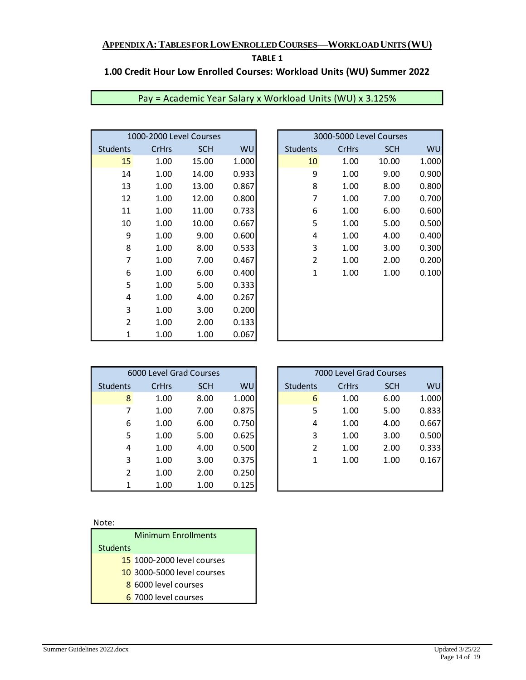# **TABLE 1**

# **1.00 Credit Hour Low Enrolled Courses: Workload Units (WU) Summer 2022**

|                 | 1000-2000 Level Courses |            |       | 3000-5000 Level Courses |       |            |
|-----------------|-------------------------|------------|-------|-------------------------|-------|------------|
| <b>Students</b> | <b>CrHrs</b>            | <b>SCH</b> | WU    | <b>Students</b>         | CrHrs | <b>SCH</b> |
| 15              | 1.00                    | 15.00      | 1.000 | 10                      | 1.00  | 10.00      |
| 14              | 1.00                    | 14.00      | 0.933 | 9                       | 1.00  | 9.00       |
| 13              | 1.00                    | 13.00      | 0.867 | 8                       | 1.00  | 8.00       |
| 12              | 1.00                    | 12.00      | 0.800 | 7                       | 1.00  | 7.00       |
| 11              | 1.00                    | 11.00      | 0.733 | 6                       | 1.00  | 6.00       |
| 10              | 1.00                    | 10.00      | 0.667 | 5                       | 1.00  | 5.00       |
| 9               | 1.00                    | 9.00       | 0.600 | 4                       | 1.00  | 4.00       |
| 8               | 1.00                    | 8.00       | 0.533 | 3                       | 1.00  | 3.00       |
| 7               | 1.00                    | 7.00       | 0.467 | 2                       | 1.00  | 2.00       |
| 6               | 1.00                    | 6.00       | 0.400 | $\mathbf{1}$            | 1.00  | 1.00       |
| 5               | 1.00                    | 5.00       | 0.333 |                         |       |            |
| 4               | 1.00                    | 4.00       | 0.267 |                         |       |            |
| 3               | 1.00                    | 3.00       | 0.200 |                         |       |            |
| $\overline{2}$  | 1.00                    | 2.00       | 0.133 |                         |       |            |
| 1               | 1.00                    | 1.00       | 0.067 |                         |       |            |

| Pay = Academic Year Salary x Workload Units (WU) x 3.125% |  |  |
|-----------------------------------------------------------|--|--|
|                                                           |  |  |

| 1000-2000 Level Courses |       |            |       |                 | 3000-5000 Level Courses |            |       |
|-------------------------|-------|------------|-------|-----------------|-------------------------|------------|-------|
| Students                | CrHrs | <b>SCH</b> | WU    | <b>Students</b> | CrHrs                   | <b>SCH</b> | WU    |
| 15                      | 1.00  | 15.00      | 1.000 | 10              | 1.00                    | 10.00      | 1.000 |
| 14                      | 1.00  | 14.00      | 0.933 | 9               | 1.00                    | 9.00       | 0.900 |
| 13                      | 1.00  | 13.00      | 0.867 | 8               | 1.00                    | 8.00       | 0.800 |
| 12                      | 1.00  | 12.00      | 0.800 | 7               | 1.00                    | 7.00       | 0.700 |
| 11                      | 1.00  | 11.00      | 0.733 | 6               | 1.00                    | 6.00       | 0.600 |
| 10                      | 1.00  | 10.00      | 0.667 | 5               | 1.00                    | 5.00       | 0.500 |
| 9                       | 1.00  | 9.00       | 0.600 | 4               | 1.00                    | 4.00       | 0.400 |
| 8                       | 1.00  | 8.00       | 0.533 | 3               | 1.00                    | 3.00       | 0.300 |
| 7                       | 1.00  | 7.00       | 0.467 | $\overline{2}$  | 1.00                    | 2.00       | 0.200 |
| 6                       | 1.00  | 6.00       | 0.400 | $\mathbf{1}$    | 1.00                    | 1.00       | 0.100 |
| 5                       | 1.00  | 5.00       | 0.333 |                 |                         |            |       |
| 4                       | 1.00  | 4.00       | 0.267 |                 |                         |            |       |
| 3                       | 1.00  | 3.00       | 0.200 |                 |                         |            |       |
| $\overline{2}$          | 1.00  | 2.00       | 0.133 |                 |                         |            |       |
| 1                       | 1.00  | 1.00       | 0.067 |                 |                         |            |       |
|                         |       |            |       |                 |                         |            |       |

|                 | 6000 Level Grad Courses |            |           |
|-----------------|-------------------------|------------|-----------|
| <b>Students</b> | CrHrs                   | <b>SCH</b> | <b>WU</b> |
| 8               | 1.00                    | 8.00       | 1.000     |
| 7               | 1.00                    | 7.00       | 0.875     |
| 6               | 1.00                    | 6.00       | 0.750     |
| 5               | 1.00                    | 5.00       | 0.625     |
| 4               | 1.00                    | 4.00       | 0.500     |
| 3               | 1.00                    | 3.00       | 0.375     |
| $\mathfrak{p}$  | 1.00                    | 2.00       | 0.250     |
| 1               | 1.00                    | 1.00       | 0.125     |

| 6000 Level Grad Courses |       |            |           |                 | 7000 Level Grad Courses |            |       |
|-------------------------|-------|------------|-----------|-----------------|-------------------------|------------|-------|
| Students                | CrHrs | <b>SCH</b> | <b>WU</b> | <b>Students</b> | <b>CrHrs</b>            | <b>SCH</b> | WU    |
| 8                       | 1.00  | 8.00       | 1.000     | 6               | 1.00                    | 6.00       | 1.000 |
| 7                       | 1.00  | 7.00       | 0.875     | 5               | 1.00                    | 5.00       | 0.833 |
| 6                       | 1.00  | 6.00       | 0.750     | 4               | 1.00                    | 4.00       | 0.667 |
| 5                       | 1.00  | 5.00       | 0.625     | 3               | 1.00                    | 3.00       | 0.500 |
| 4                       | 1.00  | 4.00       | 0.500     | 2               | 1.00                    | 2.00       | 0.333 |
| 3                       | 1.00  | 3.00       | 0.375     | 1               | 1.00                    | 1.00       | 0.167 |
| $\overline{2}$          | 1.00  | 2.00       | 0.250     |                 |                         |            |       |
| 1                       | 1.00  | 1.00       | 0.125     |                 |                         |            |       |

#### Note:

|                 | <b>Minimum Enrollments</b> |
|-----------------|----------------------------|
| <b>Students</b> |                            |
|                 | 15 1000-2000 level courses |
|                 | 10 3000-5000 level courses |
|                 | 8 6000 level courses       |
|                 | 6 7000 level courses       |
|                 |                            |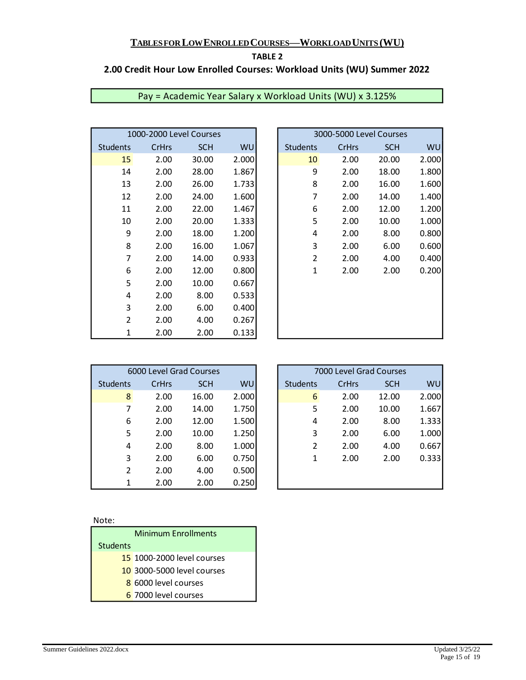#### **TABLE 2**

# **2.00 Credit Hour Low Enrolled Courses: Workload Units (WU) Summer 2022**

|                 | 1000-2000 Level Courses |            |       | 3000-5000 Level Courses |              |            |
|-----------------|-------------------------|------------|-------|-------------------------|--------------|------------|
| <b>Students</b> | <b>CrHrs</b>            | <b>SCH</b> | WU    | <b>Students</b>         | <b>CrHrs</b> | <b>SCH</b> |
| 15              | 2.00                    | 30.00      | 2.000 | 10                      | 2.00         | 20.00      |
| 14              | 2.00                    | 28.00      | 1.867 | 9                       | 2.00         | 18.00      |
| 13              | 2.00                    | 26.00      | 1.733 | 8                       | 2.00         | 16.00      |
| 12              | 2.00                    | 24.00      | 1.600 | 7                       | 2.00         | 14.00      |
| 11              | 2.00                    | 22.00      | 1.467 | 6                       | 2.00         | 12.00      |
| 10              | 2.00                    | 20.00      | 1.333 | 5                       | 2.00         | 10.00      |
| 9               | 2.00                    | 18.00      | 1.200 | 4                       | 2.00         | 8.00       |
| 8               | 2.00                    | 16.00      | 1.067 | 3                       | 2.00         | 6.00       |
| 7               | 2.00                    | 14.00      | 0.933 | $\overline{2}$          | 2.00         | 4.00       |
| 6               | 2.00                    | 12.00      | 0.800 | $\mathbf{1}$            | 2.00         | 2.00       |
| 5               | 2.00                    | 10.00      | 0.667 |                         |              |            |
| 4               | 2.00                    | 8.00       | 0.533 |                         |              |            |
| 3               | 2.00                    | 6.00       | 0.400 |                         |              |            |
| $\overline{2}$  | 2.00                    | 4.00       | 0.267 |                         |              |            |
| 1               | 2.00                    | 2.00       | 0.133 |                         |              |            |

| Pay = Academic Year Salary x Workload Units (WU) x 3.125% |  |  |
|-----------------------------------------------------------|--|--|
|-----------------------------------------------------------|--|--|

| 1000-2000 Level Courses |       |            |       |                 | 3000-5000 Level Courses |            |       |
|-------------------------|-------|------------|-------|-----------------|-------------------------|------------|-------|
| Students                | CrHrs | <b>SCH</b> | WU    | <b>Students</b> | CrHrs                   | <b>SCH</b> | WU    |
| 15                      | 2.00  | 30.00      | 2.000 | 10              | 2.00                    | 20.00      | 2.000 |
| 14                      | 2.00  | 28.00      | 1.867 | 9               | 2.00                    | 18.00      | 1.800 |
| 13                      | 2.00  | 26.00      | 1.733 | 8               | 2.00                    | 16.00      | 1.600 |
| 12                      | 2.00  | 24.00      | 1.600 | 7               | 2.00                    | 14.00      | 1.400 |
| 11                      | 2.00  | 22.00      | 1.467 | 6               | 2.00                    | 12.00      | 1.200 |
| 10                      | 2.00  | 20.00      | 1.333 | 5               | 2.00                    | 10.00      | 1.000 |
| 9                       | 2.00  | 18.00      | 1.200 | 4               | 2.00                    | 8.00       | 0.800 |
| 8                       | 2.00  | 16.00      | 1.067 | 3               | 2.00                    | 6.00       | 0.600 |
| 7                       | 2.00  | 14.00      | 0.933 | $\overline{2}$  | 2.00                    | 4.00       | 0.400 |
| 6                       | 2.00  | 12.00      | 0.800 | 1               | 2.00                    | 2.00       | 0.200 |
| 5                       | 2.00  | 10.00      | 0.667 |                 |                         |            |       |
| 4                       | 2.00  | 8.00       | 0.533 |                 |                         |            |       |
| 3                       | 2.00  | 6.00       | 0.400 |                 |                         |            |       |
| $\overline{2}$          | 2.00  | 4.00       | 0.267 |                 |                         |            |       |
| $\mathbf{1}$            | 2.00  | 2.00       | 0.133 |                 |                         |            |       |

|                 | 6000 Level Grad Courses |            |       | 7000 Level Grad Courses |              |            |
|-----------------|-------------------------|------------|-------|-------------------------|--------------|------------|
| <b>Students</b> | <b>CrHrs</b>            | <b>SCH</b> | WU    | <b>Students</b>         | <b>CrHrs</b> | <b>SCH</b> |
| 8               | 2.00                    | 16.00      | 2.000 | 6                       | 2.00         | 12.00      |
| 7               | 2.00                    | 14.00      | 1.750 | 5                       | 2.00         | 10.00      |
| 6               | 2.00                    | 12.00      | 1.500 | 4                       | 2.00         | 8.00       |
| 5               | 2.00                    | 10.00      | 1.250 | 3                       | 2.00         | 6.00       |
| 4               | 2.00                    | 8.00       | 1.000 | $\mathfrak z$           | 2.00         | 4.00       |
| 3               | 2.00                    | 6.00       | 0.750 | 1                       | 2.00         | 2.00       |
| $\mathfrak{p}$  | 2.00                    | 4.00       | 0.500 |                         |              |            |
| 1               | 2.00                    | 2.00       | 0.250 |                         |              |            |

|          | 6000 Level Grad Courses |            |           |                 | 7000 Level Grad Courses |            |           |
|----------|-------------------------|------------|-----------|-----------------|-------------------------|------------|-----------|
| Students | CrHrs                   | <b>SCH</b> | <b>WU</b> | <b>Students</b> | CrHrs                   | <b>SCH</b> | <b>WU</b> |
| 8        | 2.00                    | 16.00      | 2.000     | 6               | 2.00                    | 12.00      | 2.000     |
| 7        | 2.00                    | 14.00      | 1.750     | 5               | 2.00                    | 10.00      | 1.667     |
| 6        | 2.00                    | 12.00      | 1.500     | 4               | 2.00                    | 8.00       | 1.333     |
| 5        | 2.00                    | 10.00      | 1.250     | 3               | 2.00                    | 6.00       | 1.000     |
| 4        | 2.00                    | 8.00       | 1.000     | 2               | 2.00                    | 4.00       | 0.667     |
| 3        | 2.00                    | 6.00       | 0.750     | 1               | 2.00                    | 2.00       | 0.333     |
| 2        | 2.00                    | 4.00       | 0.500     |                 |                         |            |           |
| 1        | 2.00                    | 2.00       | 0.250     |                 |                         |            |           |

#### Note:

|          | <b>Minimum Enrollments</b> |
|----------|----------------------------|
| Students |                            |
|          | 15 1000-2000 level courses |
|          | 10 3000-5000 level courses |
|          | 8 6000 level courses       |
|          | 6 7000 level courses       |
|          |                            |

ł.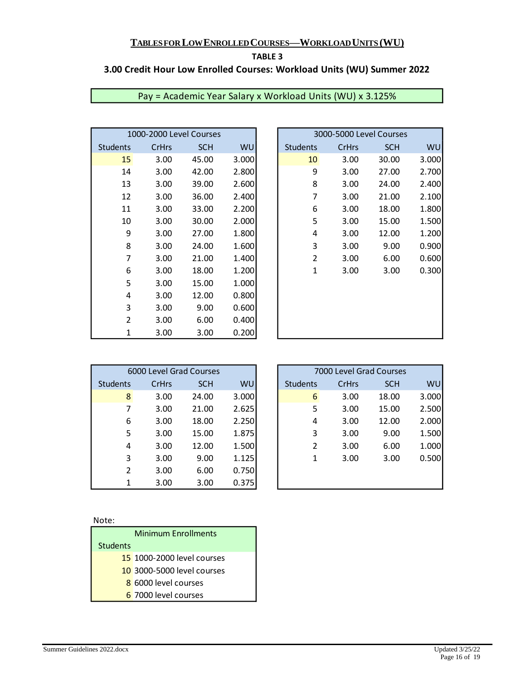#### **TABLE 3**

# **3.00 Credit Hour Low Enrolled Courses: Workload Units (WU) Summer 2022**

| 1000-2000 Level Courses |              |            |           |  |                 | 3000-5000 Level Courses |            |
|-------------------------|--------------|------------|-----------|--|-----------------|-------------------------|------------|
| <b>Students</b>         | <b>CrHrs</b> | <b>SCH</b> | <b>WU</b> |  | <b>Students</b> | <b>CrHrs</b>            | <b>SCH</b> |
| 15                      | 3.00         | 45.00      | 3.000     |  | 10              | 3.00                    | 30.00      |
| 14                      | 3.00         | 42.00      | 2.800     |  | 9               | 3.00                    | 27.00      |
| 13                      | 3.00         | 39.00      | 2.600     |  | 8               | 3.00                    | 24.00      |
| 12                      | 3.00         | 36.00      | 2.400     |  | 7               | 3.00                    | 21.00      |
| 11                      | 3.00         | 33.00      | 2.200     |  | 6               | 3.00                    | 18.00      |
| 10                      | 3.00         | 30.00      | 2.000     |  | 5               | 3.00                    | 15.00      |
| 9                       | 3.00         | 27.00      | 1.800     |  | 4               | 3.00                    | 12.00      |
| 8                       | 3.00         | 24.00      | 1.600     |  | 3               | 3.00                    | 9.00       |
| 7                       | 3.00         | 21.00      | 1.400     |  | $\overline{2}$  | 3.00                    | 6.00       |
| 6                       | 3.00         | 18.00      | 1.200     |  | $\mathbf{1}$    | 3.00                    | 3.00       |
| 5                       | 3.00         | 15.00      | 1.000     |  |                 |                         |            |
| 4                       | 3.00         | 12.00      | 0.800     |  |                 |                         |            |
| 3                       | 3.00         | 9.00       | 0.600     |  |                 |                         |            |
| $\overline{2}$          | 3.00         | 6.00       | 0.400     |  |                 |                         |            |
| 1                       | 3.00         | 3.00       | 0.200     |  |                 |                         |            |

# Pay = Academic Year Salary x Workload Units (WU) x 3.125%

| 1000-2000 Level Courses |       |            |       | 3000-5000 Level Courses |       |            |           |
|-------------------------|-------|------------|-------|-------------------------|-------|------------|-----------|
| Students                | CrHrs | <b>SCH</b> | WU    | <b>Students</b>         | CrHrs | <b>SCH</b> | <b>WU</b> |
| 15                      | 3.00  | 45.00      | 3.000 | 10                      | 3.00  | 30.00      | 3.000     |
| 14                      | 3.00  | 42.00      | 2.800 | 9                       | 3.00  | 27.00      | 2.700     |
| 13                      | 3.00  | 39.00      | 2.600 | 8                       | 3.00  | 24.00      | 2.400     |
| 12                      | 3.00  | 36.00      | 2.400 | 7                       | 3.00  | 21.00      | 2.100     |
| 11                      | 3.00  | 33.00      | 2.200 | 6                       | 3.00  | 18.00      | 1.800     |
| 10                      | 3.00  | 30.00      | 2.000 | 5                       | 3.00  | 15.00      | 1.500     |
| 9                       | 3.00  | 27.00      | 1.800 | 4                       | 3.00  | 12.00      | 1.200     |
| 8                       | 3.00  | 24.00      | 1.600 | 3                       | 3.00  | 9.00       | 0.900     |
| 7                       | 3.00  | 21.00      | 1.400 | 2                       | 3.00  | 6.00       | 0.600     |
| 6                       | 3.00  | 18.00      | 1.200 | $\mathbf{1}$            | 3.00  | 3.00       | 0.300     |
| 5                       | 3.00  | 15.00      | 1.000 |                         |       |            |           |
| 4                       | 3.00  | 12.00      | 0.800 |                         |       |            |           |
| 3                       | 3.00  | 9.00       | 0.600 |                         |       |            |           |
| 2                       | 3.00  | 6.00       | 0.400 |                         |       |            |           |
| 1                       | 3.00  | 3.00       | 0.200 |                         |       |            |           |

| 6000 Level Grad Courses |       |            |       |
|-------------------------|-------|------------|-------|
| <b>Students</b>         | CrHrs | <b>SCH</b> | WU    |
| 8                       | 3.00  | 24.00      | 3.000 |
| 7                       | 3.00  | 21.00      | 2.625 |
| 6                       | 3.00  | 18.00      | 2.250 |
| 5                       | 3.00  | 15.00      | 1.875 |
| 4                       | 3.00  | 12.00      | 1.500 |
| 3                       | 3.00  | 9.00       | 1.125 |
| $\mathfrak{p}$          | 3.00  | 6.00       | 0.750 |
|                         | 3.00  | 3.00       | 0.375 |

| ×<br>۰, |
|---------|

|                 | <b>Minimum Enrollments</b> |
|-----------------|----------------------------|
| <b>Students</b> |                            |
|                 | 15 1000-2000 level courses |
|                 | 10 3000-5000 level courses |
|                 | 8 6000 level courses       |
|                 | 6 7000 level courses       |
|                 |                            |

| 6000 Level Grad Courses |              |            |       | 7000 Level Grad Courses |              |            |       |
|-------------------------|--------------|------------|-------|-------------------------|--------------|------------|-------|
| Students                | <b>CrHrs</b> | <b>SCH</b> | WU    | <b>Students</b>         | <b>CrHrs</b> | <b>SCH</b> | WU    |
| 8                       | 3.00         | 24.00      | 3.000 | 6                       | 3.00         | 18.00      | 3.000 |
| 7                       | 3.00         | 21.00      | 2.625 | 5                       | 3.00         | 15.00      | 2.500 |
| 6                       | 3.00         | 18.00      | 2.250 | 4                       | 3.00         | 12.00      | 2.000 |
| 5                       | 3.00         | 15.00      | 1.875 | 3                       | 3.00         | 9.00       | 1.500 |
| 4                       | 3.00         | 12.00      | 1.500 | $\overline{2}$          | 3.00         | 6.00       | 1.000 |
| 3                       | 3.00         | 9.00       | 1.125 | 1                       | 3.00         | 3.00       | 0.500 |
| $\overline{2}$          | 3.00         | 6.00       | 0.750 |                         |              |            |       |
| 1                       | 3.00         | 3.00       | 0.375 |                         |              |            |       |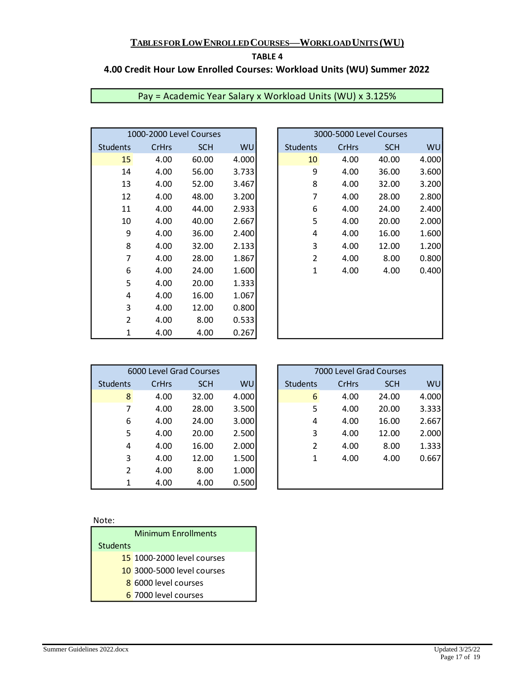#### **TABLE 4**

# **4.00 Credit Hour Low Enrolled Courses: Workload Units (WU) Summer 2022**

| 1000-2000 Level Courses |       |            |           |  |                 | 3000-5000 Level Courses |            |
|-------------------------|-------|------------|-----------|--|-----------------|-------------------------|------------|
| <b>Students</b>         | CrHrs | <b>SCH</b> | <b>WU</b> |  | <b>Students</b> | CrHrs                   | <b>SCH</b> |
| 15                      | 4.00  | 60.00      | 4.000     |  | 10              | 4.00                    | 40.00      |
| 14                      | 4.00  | 56.00      | 3.733     |  | 9               | 4.00                    | 36.00      |
| 13                      | 4.00  | 52.00      | 3.467     |  | 8               | 4.00                    | 32.00      |
| 12                      | 4.00  | 48.00      | 3.200     |  | 7               | 4.00                    | 28.00      |
| 11                      | 4.00  | 44.00      | 2.933     |  | 6               | 4.00                    | 24.00      |
| 10                      | 4.00  | 40.00      | 2.667     |  | 5               | 4.00                    | 20.00      |
| 9                       | 4.00  | 36.00      | 2.400     |  | 4               | 4.00                    | 16.00      |
| 8                       | 4.00  | 32.00      | 2.133     |  | 3               | 4.00                    | 12.00      |
| 7                       | 4.00  | 28.00      | 1.867     |  | $\overline{2}$  | 4.00                    | 8.00       |
| 6                       | 4.00  | 24.00      | 1.600     |  | 1               | 4.00                    | 4.00       |
| 5                       | 4.00  | 20.00      | 1.333     |  |                 |                         |            |
| 4                       | 4.00  | 16.00      | 1.067     |  |                 |                         |            |
| 3                       | 4.00  | 12.00      | 0.800     |  |                 |                         |            |
| 2                       | 4.00  | 8.00       | 0.533     |  |                 |                         |            |
| 1                       | 4.00  | 4.00       | 0.267     |  |                 |                         |            |

| Pay = Academic Year Salary x Workload Units (WU) x 3.125% |  |  |
|-----------------------------------------------------------|--|--|
|-----------------------------------------------------------|--|--|

| 1000-2000 Level Courses |       |            |       | 3000-5000 Level Courses |       |            |           |
|-------------------------|-------|------------|-------|-------------------------|-------|------------|-----------|
| Students                | CrHrs | <b>SCH</b> | WU    | <b>Students</b>         | CrHrs | <b>SCH</b> | <b>WU</b> |
| 15                      | 4.00  | 60.00      | 4.000 | 10                      | 4.00  | 40.00      | 4.000     |
| 14                      | 4.00  | 56.00      | 3.733 | 9                       | 4.00  | 36.00      | 3.600     |
| 13                      | 4.00  | 52.00      | 3.467 | 8                       | 4.00  | 32.00      | 3.200     |
| 12                      | 4.00  | 48.00      | 3.200 | 7                       | 4.00  | 28.00      | 2.800     |
| 11                      | 4.00  | 44.00      | 2.933 | 6                       | 4.00  | 24.00      | 2.400     |
| 10                      | 4.00  | 40.00      | 2.667 | 5                       | 4.00  | 20.00      | 2.000     |
| 9                       | 4.00  | 36.00      | 2.400 | 4                       | 4.00  | 16.00      | 1.600     |
| 8                       | 4.00  | 32.00      | 2.133 | 3                       | 4.00  | 12.00      | 1.200     |
| 7                       | 4.00  | 28.00      | 1.867 | $\overline{2}$          | 4.00  | 8.00       | 0.800     |
| 6                       | 4.00  | 24.00      | 1.600 | $\mathbf{1}$            | 4.00  | 4.00       | 0.400     |
| 5                       | 4.00  | 20.00      | 1.333 |                         |       |            |           |
| 4                       | 4.00  | 16.00      | 1.067 |                         |       |            |           |
| 3                       | 4.00  | 12.00      | 0.800 |                         |       |            |           |
| $\overline{2}$          | 4.00  | 8.00       | 0.533 |                         |       |            |           |
| $\mathbf 1$             | 4.00  | 4.00       | 0.267 |                         |       |            |           |
|                         |       |            |       |                         |       |            |           |

| 6000 Level Grad Courses |       |            |           |  |  |
|-------------------------|-------|------------|-----------|--|--|
| <b>Students</b>         | CrHrs | <b>SCH</b> | <b>WU</b> |  |  |
| 8                       | 4.00  | 32.00      | 4.000     |  |  |
| 7                       | 4.00  | 28.00      | 3.500     |  |  |
| 6                       | 4.00  | 24.00      | 3.000     |  |  |
| 5                       | 4.00  | 20.00      | 2.500     |  |  |
| 4                       | 4.00  | 16.00      | 2.000     |  |  |
| 3                       | 4.00  | 12.00      | 1.500     |  |  |
| $\mathfrak{p}$          | 4.00  | 8.00       | 1.000     |  |  |
| 1                       | 4.00  | 4.00       | 0.500     |  |  |

| ×<br>۰, |
|---------|

|                 | <b>Minimum Enrollments</b> |
|-----------------|----------------------------|
| <b>Students</b> |                            |
|                 | 15 1000-2000 level courses |
|                 | 10 3000-5000 level courses |
|                 | 8 6000 level courses       |
|                 | 6 7000 level courses       |
|                 |                            |

|                | 6000 Level Grad Courses |            |       |  |
|----------------|-------------------------|------------|-------|--|
| Students       | <b>CrHrs</b>            | <b>SCH</b> | WU    |  |
| 8              | 4.00                    | 32.00      | 4.000 |  |
| 7              | 4.00                    | 28.00      | 3.500 |  |
| 6              | 4.00                    | 24.00      | 3.000 |  |
| 5              | 4.00                    | 20.00      | 2.500 |  |
| 4              | 4.00                    | 16.00      | 2.000 |  |
| 3              | 4.00                    | 12.00      | 1.500 |  |
| $\overline{2}$ | 4.00                    | 8.00       | 1.000 |  |
| 1              | 4.00                    | 4.00       | 0.500 |  |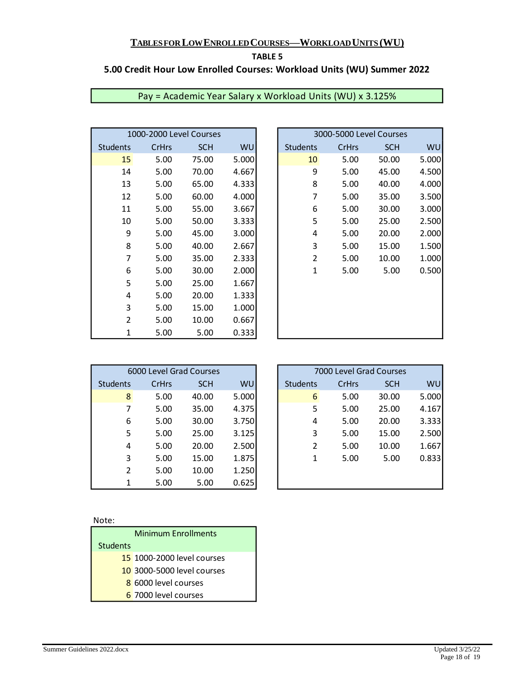#### **TABLE 5**

# **5.00 Credit Hour Low Enrolled Courses: Workload Units (WU) Summer 2022**

|                 | 1000-2000 Level Courses |            |       |  |                 | 3000-5000 Level Courses |            |
|-----------------|-------------------------|------------|-------|--|-----------------|-------------------------|------------|
| <b>Students</b> | CrHrs                   | <b>SCH</b> | WU    |  | <b>Students</b> | CrHrs                   | <b>SCH</b> |
| 15              | 5.00                    | 75.00      | 5.000 |  | 10              | 5.00                    | 50.00      |
| 14              | 5.00                    | 70.00      | 4.667 |  | 9               | 5.00                    | 45.00      |
| 13              | 5.00                    | 65.00      | 4.333 |  | 8               | 5.00                    | 40.00      |
| 12              | 5.00                    | 60.00      | 4.000 |  | 7               | 5.00                    | 35.00      |
| 11              | 5.00                    | 55.00      | 3.667 |  | 6               | 5.00                    | 30.00      |
| 10              | 5.00                    | 50.00      | 3.333 |  | 5               | 5.00                    | 25.00      |
| 9               | 5.00                    | 45.00      | 3.000 |  | 4               | 5.00                    | 20.00      |
| 8               | 5.00                    | 40.00      | 2.667 |  | 3               | 5.00                    | 15.00      |
| 7               | 5.00                    | 35.00      | 2.333 |  | $\overline{2}$  | 5.00                    | 10.00      |
| 6               | 5.00                    | 30.00      | 2.000 |  | $\mathbf{1}$    | 5.00                    | 5.00       |
| 5               | 5.00                    | 25.00      | 1.667 |  |                 |                         |            |
| 4               | 5.00                    | 20.00      | 1.333 |  |                 |                         |            |
| 3               | 5.00                    | 15.00      | 1.000 |  |                 |                         |            |
| $\overline{2}$  | 5.00                    | 10.00      | 0.667 |  |                 |                         |            |
| 1               | 5.00                    | 5.00       | 0.333 |  |                 |                         |            |

| Pay = Academic Year Salary x Workload Units (WU) x 3.125% |  |  |
|-----------------------------------------------------------|--|--|
|-----------------------------------------------------------|--|--|

| 1000-2000 Level Courses |       |            |       |                 |       | 3000-5000 Level Courses |           |
|-------------------------|-------|------------|-------|-----------------|-------|-------------------------|-----------|
| Students                | CrHrs | <b>SCH</b> | WU    | <b>Students</b> | CrHrs | <b>SCH</b>              | <b>WU</b> |
| 15                      | 5.00  | 75.00      | 5.000 | 10              | 5.00  | 50.00                   | 5.000     |
| 14                      | 5.00  | 70.00      | 4.667 | 9               | 5.00  | 45.00                   | 4.500     |
| 13                      | 5.00  | 65.00      | 4.333 | 8               | 5.00  | 40.00                   | 4.000     |
| 12                      | 5.00  | 60.00      | 4.000 | 7               | 5.00  | 35.00                   | 3.500     |
| 11                      | 5.00  | 55.00      | 3.667 | 6               | 5.00  | 30.00                   | 3.000     |
| 10                      | 5.00  | 50.00      | 3.333 | 5               | 5.00  | 25.00                   | 2.500     |
| 9                       | 5.00  | 45.00      | 3.000 | 4               | 5.00  | 20.00                   | 2.000     |
| 8                       | 5.00  | 40.00      | 2.667 | 3               | 5.00  | 15.00                   | 1.500     |
| 7                       | 5.00  | 35.00      | 2.333 | $\overline{2}$  | 5.00  | 10.00                   | 1.000     |
| 6                       | 5.00  | 30.00      | 2.000 | $\mathbf{1}$    | 5.00  | 5.00                    | 0.500     |
| 5                       | 5.00  | 25.00      | 1.667 |                 |       |                         |           |
| 4                       | 5.00  | 20.00      | 1.333 |                 |       |                         |           |
| 3                       | 5.00  | 15.00      | 1.000 |                 |       |                         |           |
| $\overline{2}$          | 5.00  | 10.00      | 0.667 |                 |       |                         |           |
| 1                       | 5.00  | 5.00       | 0.333 |                 |       |                         |           |
|                         |       |            |       |                 |       |                         |           |

| 6000 Level Grad Courses |       |            |           |  |  |  |  |
|-------------------------|-------|------------|-----------|--|--|--|--|
| <b>Students</b>         | CrHrs | <b>SCH</b> | <b>WU</b> |  |  |  |  |
| 8                       | 5.00  | 40.00      | 5.000     |  |  |  |  |
| 7                       | 5.00  | 35.00      | 4.375     |  |  |  |  |
| 6                       | 5.00  | 30.00      | 3.750     |  |  |  |  |
| 5                       | 5.00  | 25.00      | 3.125     |  |  |  |  |
| 4                       | 5.00  | 20.00      | 2.500     |  |  |  |  |
| 3                       | 5.00  | 15.00      | 1.875     |  |  |  |  |
| $\mathfrak{p}$          | 5.00  | 10.00      | 1.250     |  |  |  |  |
| 1                       | 5.00  | 5.00       | 0.625     |  |  |  |  |

| ×<br>۰, |
|---------|

|                 | <b>Minimum Enrollments</b> |
|-----------------|----------------------------|
| <b>Students</b> |                            |
|                 | 15 1000-2000 level courses |
|                 | 10 3000-5000 level courses |
|                 | 8 6000 level courses       |
|                 | 6 7000 level courses       |
|                 |                            |

|          | 6000 Level Grad Courses |            |       |  |
|----------|-------------------------|------------|-------|--|
| Students | <b>CrHrs</b>            | <b>SCH</b> | WU    |  |
| 8        | 5.00                    | 40.00      | 5.000 |  |
| 7        | 5.00                    | 35.00      | 4.375 |  |
| 6        | 5.00                    | 30.00      | 3.750 |  |
| 5        | 5.00                    | 25.00      | 3.125 |  |
| 4        | 5.00                    | 20.00      | 2.500 |  |
| 3        | 5.00                    | 15.00      | 1.875 |  |
| 2        | 5.00                    | 10.00      | 1.250 |  |
| 1        | 5.00                    | 5.00       | 0.625 |  |